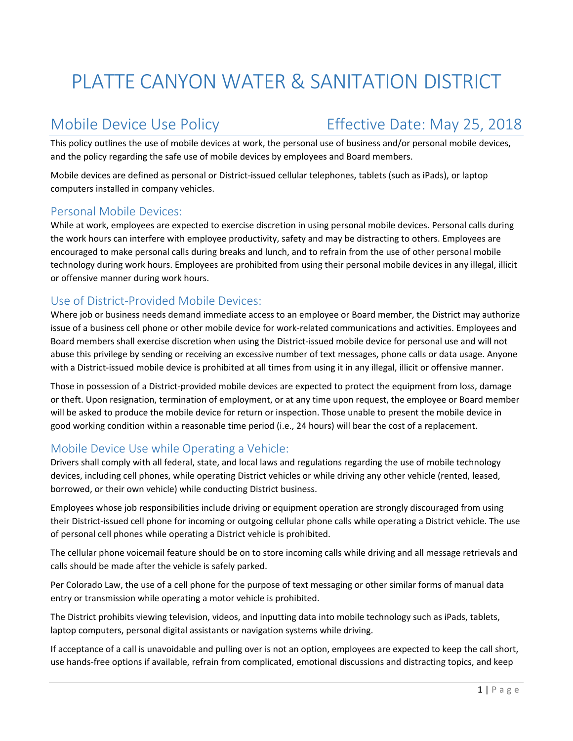# PLATTE CANYON WATER & SANITATION DISTRICT

## Mobile Device Use Policy **Effective Date: May 25, 2018**

This policy outlines the use of mobile devices at work, the personal use of business and/or personal mobile devices, and the policy regarding the safe use of mobile devices by employees and Board members.

Mobile devices are defined as personal or District‐issued cellular telephones, tablets (such as iPads), or laptop computers installed in company vehicles.

#### Personal Mobile Devices:

While at work, employees are expected to exercise discretion in using personal mobile devices. Personal calls during the work hours can interfere with employee productivity, safety and may be distracting to others. Employees are encouraged to make personal calls during breaks and lunch, and to refrain from the use of other personal mobile technology during work hours. Employees are prohibited from using their personal mobile devices in any illegal, illicit or offensive manner during work hours.

### Use of District‐Provided Mobile Devices:

Where job or business needs demand immediate access to an employee or Board member, the District may authorize issue of a business cell phone or other mobile device for work‐related communications and activities. Employees and Board members shall exercise discretion when using the District‐issued mobile device for personal use and will not abuse this privilege by sending or receiving an excessive number of text messages, phone calls or data usage. Anyone with a District-issued mobile device is prohibited at all times from using it in any illegal, illicit or offensive manner.

Those in possession of a District-provided mobile devices are expected to protect the equipment from loss, damage or theft. Upon resignation, termination of employment, or at any time upon request, the employee or Board member will be asked to produce the mobile device for return or inspection. Those unable to present the mobile device in good working condition within a reasonable time period (i.e., 24 hours) will bear the cost of a replacement.

#### Mobile Device Use while Operating a Vehicle:

Drivers shall comply with all federal, state, and local laws and regulations regarding the use of mobile technology devices, including cell phones, while operating District vehicles or while driving any other vehicle (rented, leased, borrowed, or their own vehicle) while conducting District business.

Employees whose job responsibilities include driving or equipment operation are strongly discouraged from using their District‐issued cell phone for incoming or outgoing cellular phone calls while operating a District vehicle. The use of personal cell phones while operating a District vehicle is prohibited.

The cellular phone voicemail feature should be on to store incoming calls while driving and all message retrievals and calls should be made after the vehicle is safely parked.

Per Colorado Law, the use of a cell phone for the purpose of text messaging or other similar forms of manual data entry or transmission while operating a motor vehicle is prohibited.

The District prohibits viewing television, videos, and inputting data into mobile technology such as iPads, tablets, laptop computers, personal digital assistants or navigation systems while driving.

If acceptance of a call is unavoidable and pulling over is not an option, employees are expected to keep the call short, use hands‐free options if available, refrain from complicated, emotional discussions and distracting topics, and keep